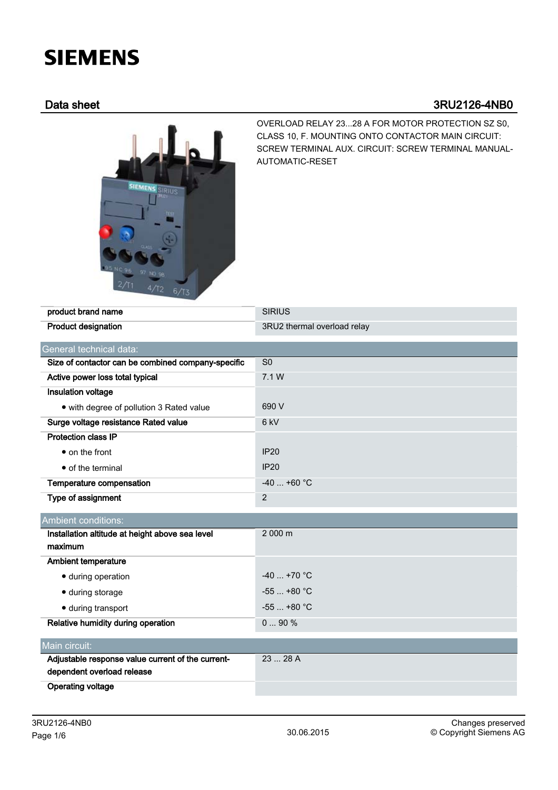# **SIEMENS**

# Data sheet 3RU2126-4NB0



OVERLOAD RELAY 23...28 A FOR MOTOR PROTECTION SZ S0, CLASS 10, F. MOUNTING ONTO CONTACTOR MAIN CIRCUIT: SCREW TERMINAL AUX. CIRCUIT: SCREW TERMINAL MANUAL-AUTOMATIC-RESET

| product brand name                                 | <b>SIRIUS</b>               |  |  |
|----------------------------------------------------|-----------------------------|--|--|
| <b>Product designation</b>                         | 3RU2 thermal overload relay |  |  |
| General technical data:                            |                             |  |  |
| Size of contactor can be combined company-specific | S <sub>0</sub>              |  |  |
| Active power loss total typical                    | 7.1 W                       |  |  |
| Insulation voltage                                 |                             |  |  |
| • with degree of pollution 3 Rated value           | 690 V                       |  |  |
| Surge voltage resistance Rated value               | 6 kV                        |  |  |
| <b>Protection class IP</b>                         |                             |  |  |
| $\bullet$ on the front                             | <b>IP20</b>                 |  |  |
| • of the terminal                                  | <b>IP20</b>                 |  |  |
| Temperature compensation                           | $-40$ +60 °C                |  |  |
| Type of assignment                                 | $\overline{2}$              |  |  |
| Ambient conditions:                                |                             |  |  |
| Installation altitude at height above sea level    | 2 000 m                     |  |  |
| maximum                                            |                             |  |  |
| <b>Ambient temperature</b>                         |                             |  |  |
| · during operation                                 | $-40$ +70 °C                |  |  |
| · during storage                                   | $-55+80 °C$                 |  |  |
| · during transport                                 | $-55$ $+80$ °C              |  |  |
| Relative humidity during operation                 | 090%                        |  |  |
| Main circuit:                                      |                             |  |  |
| Adjustable response value current of the current-  | 23  28 A                    |  |  |
| dependent overload release                         |                             |  |  |
| <b>Operating voltage</b>                           |                             |  |  |
|                                                    |                             |  |  |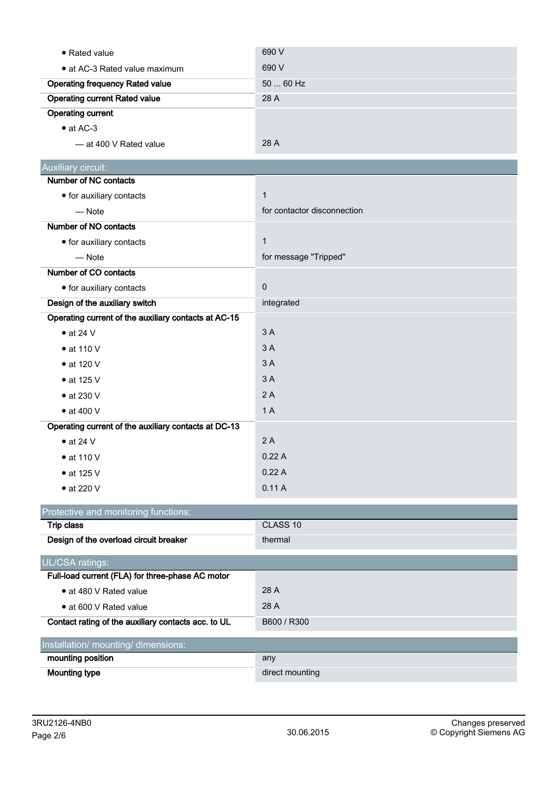| • Rated value                                        | 690 V                       |
|------------------------------------------------------|-----------------------------|
| • at AC-3 Rated value maximum                        | 690 V                       |
| <b>Operating frequency Rated value</b>               | 50  60 Hz                   |
| <b>Operating current Rated value</b>                 | 28 A                        |
| <b>Operating current</b>                             |                             |
| $\bullet$ at AC-3                                    |                             |
| - at 400 V Rated value                               | 28 A                        |
| Auxiliary circuit:                                   |                             |
| Number of NC contacts                                |                             |
| • for auxiliary contacts                             | $\mathbf{1}$                |
| $-$ Note                                             | for contactor disconnection |
| Number of NO contacts                                |                             |
| • for auxiliary contacts                             | $\mathbf{1}$                |
| $-$ Note                                             | for message "Tripped"       |
| Number of CO contacts                                |                             |
| • for auxiliary contacts                             | $\pmb{0}$                   |
| Design of the auxiliary switch                       | integrated                  |
| Operating current of the auxiliary contacts at AC-15 |                             |
| $\bullet$ at 24 V                                    | 3A                          |
| $\bullet$ at 110 V                                   | 3A                          |
| • at 120 V                                           | 3A                          |
| $\bullet$ at 125 V                                   | 3A                          |
| $\bullet$ at 230 V                                   | 2A                          |
| $\bullet$ at 400 V                                   | 1A                          |
| Operating current of the auxiliary contacts at DC-13 |                             |
| $\bullet$ at 24 V                                    | 2A                          |
| $\bullet$ at 110 V                                   | 0.22A                       |
| $\bullet$ at 125 V                                   | 0.22A                       |
| $\bullet$ at 220 V                                   | 0.11A                       |
| Protective and monitoring functions:                 |                             |
| <b>Trip class</b>                                    | CLASS 10                    |
| Design of the overload circuit breaker               | thermal                     |
| UL/CSA ratings:                                      |                             |
| Full-load current (FLA) for three-phase AC motor     |                             |
| • at 480 V Rated value                               | 28 A                        |
| • at 600 V Rated value                               | 28 A                        |
| Contact rating of the auxiliary contacts acc. to UL  | B600 / R300                 |
| Installation/ mounting/ dimensions:                  |                             |
| mounting position                                    | any                         |
| <b>Mounting type</b>                                 | direct mounting             |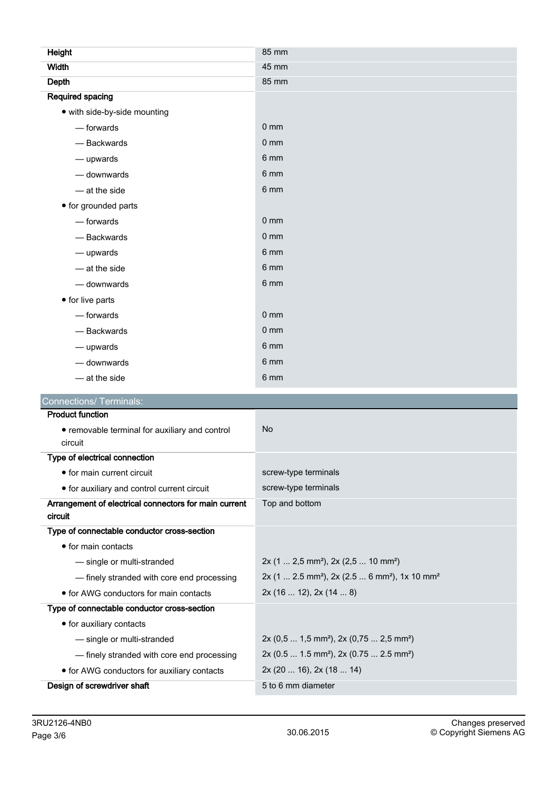| Height                                         | 85 mm                |
|------------------------------------------------|----------------------|
| <b>Width</b>                                   | 45 mm                |
| Depth                                          | 85 mm                |
| <b>Required spacing</b>                        |                      |
| • with side-by-side mounting                   |                      |
| - forwards                                     | $0 \text{ mm}$       |
| - Backwards                                    | 0 <sub>mm</sub>      |
| - upwards                                      | 6 mm                 |
| - downwards                                    | 6 mm                 |
| - at the side                                  | 6 mm                 |
| • for grounded parts                           |                      |
| - forwards                                     | 0 <sub>mm</sub>      |
| - Backwards                                    | 0 <sub>mm</sub>      |
| - upwards                                      | 6 mm                 |
| - at the side                                  | 6 mm                 |
| - downwards                                    | 6 mm                 |
| • for live parts                               |                      |
| — forwards                                     | 0 <sub>mm</sub>      |
| - Backwards                                    | 0 <sub>mm</sub>      |
| - upwards                                      | 6 mm                 |
| - downwards                                    | 6 mm                 |
| - at the side                                  | 6 mm                 |
| <b>Connections/ Terminals:</b>                 |                      |
| <b>Product function</b>                        |                      |
| • removable terminal for auxiliary and control | <b>No</b>            |
| circuit                                        |                      |
| Type of electrical connection                  |                      |
| • for main current circuit                     | screw-type terminals |

| • for auxiliary and control current circuit                      | screw-type terminals                                                                  |
|------------------------------------------------------------------|---------------------------------------------------------------------------------------|
| Arrangement of electrical connectors for main current<br>circuit | Top and bottom                                                                        |
| Type of connectable conductor cross-section                      |                                                                                       |
| • for main contacts                                              |                                                                                       |
| - single or multi-stranded                                       | $2x$ (1  2,5 mm <sup>2</sup> ), 2x (2,5  10 mm <sup>2</sup> )                         |
| - finely stranded with core end processing                       | $2x$ (1  2.5 mm <sup>2</sup> ), $2x$ (2.5  6 mm <sup>2</sup> ), 1x 10 mm <sup>2</sup> |
| • for AWG conductors for main contacts                           | 2x(1612), 2x(148)                                                                     |
| Type of connectable conductor cross-section                      |                                                                                       |
| • for auxiliary contacts                                         |                                                                                       |
| - single or multi-stranded                                       | $2x (0,5  1,5 mm2)$ , $2x (0,75  2,5 mm2)$                                            |
| - finely stranded with core end processing                       | 2x (0.5  1.5 mm <sup>2</sup> ), 2x (0.75  2.5 mm <sup>2</sup> )                       |
| • for AWG conductors for auxiliary contacts                      | 2x(2016), 2x(1814)                                                                    |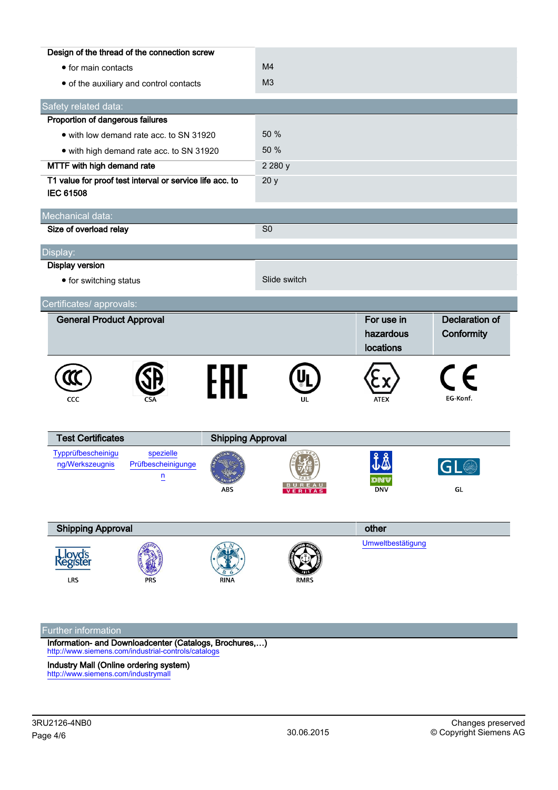|                                                                              | Design of the thread of the connection screw      |                                 |                |                                      |                                     |
|------------------------------------------------------------------------------|---------------------------------------------------|---------------------------------|----------------|--------------------------------------|-------------------------------------|
| • for main contacts                                                          |                                                   | M <sub>4</sub>                  |                |                                      |                                     |
|                                                                              | • of the auxiliary and control contacts           |                                 | M <sub>3</sub> |                                      |                                     |
| Safety related data:                                                         |                                                   |                                 |                |                                      |                                     |
| Proportion of dangerous failures                                             |                                                   |                                 |                |                                      |                                     |
| • with low demand rate acc. to SN 31920                                      |                                                   | 50 %                            |                |                                      |                                     |
| • with high demand rate acc. to SN 31920                                     |                                                   | 50 %                            |                |                                      |                                     |
| MTTF with high demand rate                                                   |                                                   | 2 2 8 0 y                       |                |                                      |                                     |
| T1 value for proof test interval or service life acc. to<br><b>IEC 61508</b> |                                                   | 20y                             |                |                                      |                                     |
| Mechanical data:                                                             |                                                   |                                 |                |                                      |                                     |
| Size of overload relay                                                       |                                                   |                                 | S <sub>0</sub> |                                      |                                     |
| Display:                                                                     |                                                   |                                 |                |                                      |                                     |
| <b>Display version</b>                                                       |                                                   |                                 |                |                                      |                                     |
| • for switching status                                                       |                                                   |                                 | Slide switch   |                                      |                                     |
| Certificates/ approvals:                                                     |                                                   |                                 |                |                                      |                                     |
| <b>General Product Approval</b>                                              |                                                   |                                 |                | For use in<br>hazardous<br>locations | <b>Declaration of</b><br>Conformity |
|                                                                              |                                                   | FAL                             |                |                                      | $\epsilon$                          |
| CCC                                                                          |                                                   |                                 | UL             | <b>ATEX</b>                          | EG-Konf.                            |
| <b>Test Certificates</b>                                                     |                                                   |                                 |                |                                      |                                     |
| Typprüfbescheinigu<br>ng/Werkszeugnis                                        | spezielle<br>Prüfbescheinigunge<br>$\overline{u}$ | <b>Shipping Approval</b><br>ABS | VERITAS        | 工本<br>DNV<br><b>DNV</b>              | GL                                  |
| <b>Shipping Approval</b>                                                     |                                                   |                                 |                | other                                |                                     |
| Lloyd's<br>Register<br><b>LRS</b>                                            |                                                   | <b>RINA</b>                     | RMRS           | Umweltbestätigung                    |                                     |

## Further information

Information- and Downloadcenter (Catalogs, Brochures,…) <http://www.siemens.com/industrial-controls/catalogs>

Industry Mall (Online ordering system) <http://www.siemens.com/industrymall>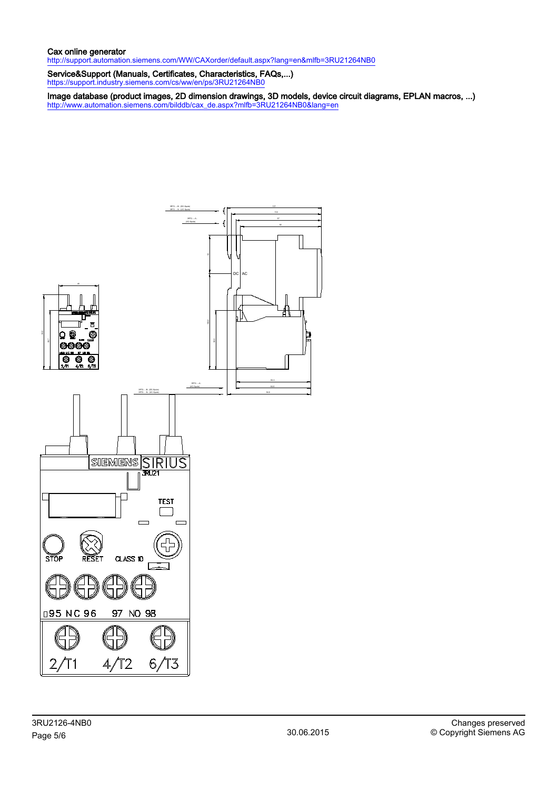### Cax online generator

<http://support.automation.siemens.com/WW/CAXorder/default.aspx?lang=en&mlfb=3RU21264NB0>

Service&Support (Manuals, Certificates, Characteristics, FAQs,...) <https://support.industry.siemens.com/cs/ww/en/ps/3RU21264NB0>

Image database (product images, 2D dimension drawings, 3D models, device circuit diagrams, EPLAN macros, ...) [http://www.automation.siemens.com/bilddb/cax\\_de.aspx?mlfb=3RU21264NB0&lang=en](http://www.automation.siemens.com/bilddb/cax_de.aspx?mlfb=3RU21264NB0&lang=en)